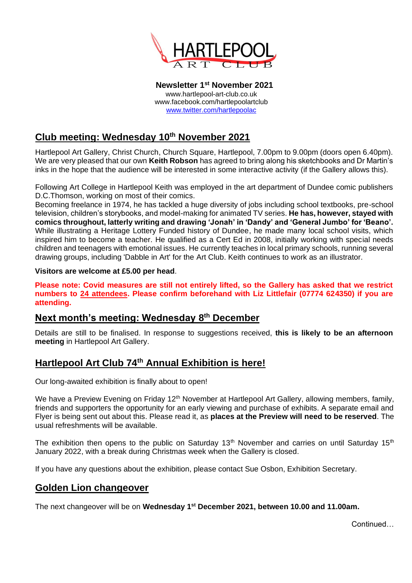

**Newsletter 1 st November 2021** www.hartlepool-art-club.co.uk www.facebook.com/hartlepoolartclub [www.twitter.com/hartlepoolac](http://www.twitter.com/hartlepoolac)

# **Club meeting: Wednesday 10th November 2021**

Hartlepool Art Gallery, Christ Church, Church Square, Hartlepool, 7.00pm to 9.00pm (doors open 6.40pm). We are very pleased that our own **Keith Robson** has agreed to bring along his sketchbooks and Dr Martin's inks in the hope that the audience will be interested in some interactive activity (if the Gallery allows this).

Following Art College in Hartlepool Keith was employed in the art department of Dundee comic publishers D.C.Thomson, working on most of their comics.

Becoming freelance in 1974, he has tackled a huge diversity of jobs including school textbooks, pre-school television, children's storybooks, and model-making for animated TV series. **He has, however, stayed with comics throughout, latterly writing and drawing 'Jonah' in 'Dandy' and 'General Jumbo' for 'Beano'.** While illustrating a Heritage Lottery Funded history of Dundee, he made many local school visits, which inspired him to become a teacher. He qualified as a Cert Ed in 2008, initially working with special needs children and teenagers with emotional issues. He currently teaches in local primary schools, running several drawing groups, including 'Dabble in Art' for the Art Club. Keith continues to work as an illustrator.

**Visitors are welcome at £5.00 per head**.

**Please note: Covid measures are still not entirely lifted, so the Gallery has asked that we restrict numbers to 24 attendees. Please confirm beforehand with Liz Littlefair (07774 624350) if you are attending.**

### **Next month's meeting: Wednesday 8 th December**

Details are still to be finalised. In response to suggestions received, **this is likely to be an afternoon meeting** in Hartlepool Art Gallery.

## **Hartlepool Art Club 74th Annual Exhibition is here!**

Our long-awaited exhibition is finally about to open!

We have a Preview Evening on Friday 12<sup>th</sup> November at Hartlepool Art Gallery, allowing members, family, friends and supporters the opportunity for an early viewing and purchase of exhibits. A separate email and Flyer is being sent out about this. Please read it, as **places at the Preview will need to be reserved**. The usual refreshments will be available.

The exhibition then opens to the public on Saturday 13<sup>th</sup> November and carries on until Saturday 15<sup>th</sup> January 2022, with a break during Christmas week when the Gallery is closed.

If you have any questions about the exhibition, please contact Sue Osbon, Exhibition Secretary.

### **Golden Lion changeover**

The next changeover will be on **Wednesday 1 st December 2021, between 10.00 and 11.00am.**

Continued…